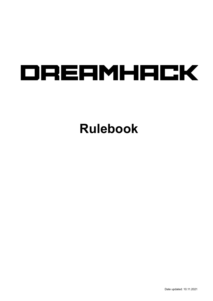# DREAMHACK

## **Rulebook**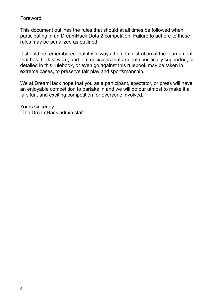#### Foreword

This document outlines the rules that should at all times be followed when participating in an DreamHack Dota 2 competition. Failure to adhere to these rules may be penalized as outlined.

It should be remembered that it is always the administration of the tournament that has the last word, and that decisions that are not specifically supported, or detailed in this rulebook, or even go against this rulebook may be taken in extreme cases, to preserve fair play and sportsmanship.

We at DreamHack hope that you as a participant, spectator, or press will have an enjoyable competition to partake in and we will do our utmost to make it a fair, fun, and exciting competition for everyone involved.

Yours sincerely The DreamHack admin staff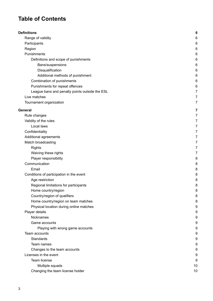### **Table of Contents**

| <b>Definitions</b>                             | 6              |
|------------------------------------------------|----------------|
| Range of validity                              | 6              |
| Participants                                   | 6              |
| Region                                         | 6              |
| Punishments                                    | 6              |
| Definitions and scope of punishments           | 6              |
| Bans/suspensions                               | 6              |
| Disqualification                               | 6              |
| Additional methods of punishment               | 6              |
| Combination of punishments                     | 6              |
| Punishments for repeat offences                | 6              |
| League bans and penalty points outside the ESL | 7              |
| Live matches                                   | $\overline{7}$ |
| Tournament organization                        | 7              |
|                                                |                |
| General                                        | 7              |
| Rule changes                                   | 7              |
| Validity of the rules                          | $\overline{7}$ |
| Local laws                                     | 7              |
| Confidentiality                                | $\overline{7}$ |
| Additional agreements                          | 7              |
| Match broadcasting                             | 7              |
| <b>Rights</b>                                  | 7              |
| Waiving these rights                           | $\overline{7}$ |
| Player responsibility                          | 8              |
| Communication                                  | 8              |
| Email                                          | 8              |
| Conditions of participation in the event       | 8              |
| Age restriction                                | 8              |
| Regional limitations for participants          | 8              |
| Home country/region                            | 8              |
| Country/region of qualifiers                   | 8              |
| Home country/region on team matches            | 8              |
| Physical location during online matches        | 9              |
| Player details                                 | 9              |
| Nicknames                                      | 9              |
| Game accounts                                  | 9              |
| Playing with wrong game accounts               | 9              |
| <b>Team accounts</b>                           | 9              |
| Standards                                      | 9              |
| Team names                                     | 9              |
| Changes to the team accounts                   | 9              |
| Licenses in the event                          | 9              |
| Team license                                   | 9              |
| Multiple squads                                | 10             |
| Changing the team license holder               | 10             |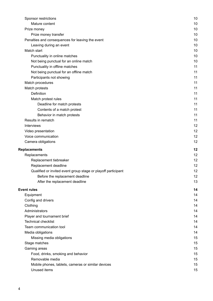| Sponsor restrictions                                          | 10 |
|---------------------------------------------------------------|----|
| Mature content                                                | 10 |
| Prize money                                                   | 10 |
| Prize money transfer                                          | 10 |
| Penalties and consequences for leaving the event              | 10 |
| Leaving during an event                                       | 10 |
| Match start                                                   | 10 |
| Punctuality in online matches                                 | 10 |
| Not being punctual for an online match                        | 10 |
| Punctuality in offline matches                                | 11 |
| Not being punctual for an offline match                       | 11 |
| Participants not showing                                      | 11 |
| Match procedures                                              | 11 |
| Match protests                                                | 11 |
| <b>Definition</b>                                             | 11 |
| Match protest rules                                           | 11 |
| Deadline for match protests                                   | 11 |
| Contents of a match protest                                   | 11 |
| Behavior in match protests                                    | 11 |
| Results in rematch                                            | 11 |
| <b>Interviews</b>                                             | 12 |
| Video presentation                                            | 12 |
| Voice communication                                           | 12 |
| Camera obligations                                            | 12 |
| Replacements                                                  | 12 |
| Replacements                                                  | 12 |
| Replacement tiebreaker                                        | 12 |
| Replacement deadline                                          | 12 |
| Qualified or invited event group stage or playoff participant | 12 |
| Before the replacement deadline                               | 12 |
| After the replacement deadline                                | 13 |
| <b>Event rules</b>                                            | 14 |
| Equipment                                                     | 14 |
| Config and drivers                                            | 14 |
| Clothing                                                      | 14 |
| Administrators                                                | 14 |
| Player and tournament brief                                   | 14 |
| <b>Technical checklist</b>                                    | 14 |
| Team communication tool                                       | 14 |
| Media obligations                                             | 14 |
| Missing media obligations                                     | 15 |
| Stage matches                                                 | 15 |
| Gaming areas                                                  | 15 |
| Food, drinks, smoking and behavior                            | 15 |
| Removable media                                               | 15 |
| Mobile phones, tablets, cameras or similar devices            | 15 |
| Unused items                                                  | 15 |
|                                                               |    |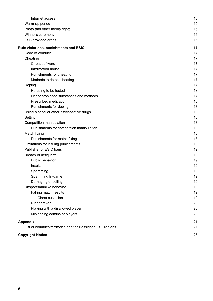| List of countries/territories and their assigned ESL regions | 21 |
|--------------------------------------------------------------|----|
| <b>Appendix</b>                                              | 21 |
| Misleading admins or players                                 | 20 |
| Playing with a disallowed player                             | 20 |
| Ringer/faker                                                 | 20 |
| Cheat suspicion                                              | 19 |
| Faking match results                                         | 19 |
| Unsportsmanlike behavior                                     | 19 |
| Damaging or soiling                                          | 19 |
| Spamming In-game                                             | 19 |
| Spamming                                                     | 19 |
| Insults                                                      | 19 |
| Public behavior                                              | 19 |
| Breach of netiquette                                         | 19 |
| Publisher or ESIC bans                                       | 19 |
| Limitations for issuing punishments                          | 18 |
| Punishments for match fixing                                 | 18 |
| Match fixing                                                 | 18 |
| Punishments for competition manipulation                     | 18 |
| Competition manipulation                                     | 18 |
| <b>Betting</b>                                               | 18 |
| Using alcohol or other psychoactive drugs                    | 18 |
| Punishments for doping                                       | 18 |
| Prescribed medication                                        | 18 |
| List of prohibited substances and methods                    | 17 |
| Refusing to be tested                                        | 17 |
| Doping                                                       | 17 |
| Methods to detect cheating                                   | 17 |
| Punishments for cheating                                     | 17 |
| Information abuse                                            | 17 |
| Cheat software                                               | 17 |
| Cheating                                                     | 17 |
| Code of conduct                                              | 17 |
| Rule violations, punishments and ESIC                        | 17 |
| ESL-provided areas                                           | 16 |
| Winners ceremony                                             | 16 |
| Photo and other media rights                                 | 15 |
| Warm-up period                                               | 15 |
| Internet access                                              | 15 |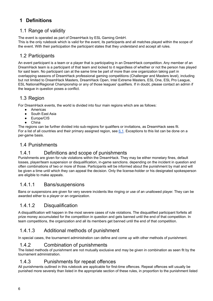#### <span id="page-5-0"></span>**1 Definitions**

#### <span id="page-5-1"></span>1.1 Range of validity

The event is operated as part of DreamHack by ESL Gaming GmbH.

This is the only rulebook which is valid for the event, its participants and all matches played within the scope of the event. With their participation the participant states that they understand and accept all rules.

#### <span id="page-5-2"></span>1.2 Participants

An event participant is a team or a player that is participating in an DreamHack competition. Any member of an DreamHack team is a participant of that team and locked to it regardless of whether or not the person has played for said team. No participant can at the same time be part of more than one organization taking part in overlapping seasons of DreamHack professional gaming competitions (Challenger and Masters level), including but not limited to DreamHack Masters, DreamHack Open, Intel Extreme Masters, ESL One, ESL Pro League, ESL National/Regional Championship or any of those leagues' qualifiers. If in doubt, please contact an admin if the league in question poses a conflict.

#### <span id="page-5-3"></span>1.3 Region

For DreamHack events, the world is divided into four main regions which are as follows:

- Americas
- South East Asia
- Europe/CIS
- **China**

The regions can be further divided into sub-regions for qualifiers or invitations, as DreamHack sees fit. For a list of all countries and their primary assigned region, see [6.1](#page-20-1). Exceptions to this list can be done on a per-game basis.

#### <span id="page-5-4"></span>1.4 Punishments

#### <span id="page-5-5"></span>1.4.1 Definitions and scope of punishments

Punishments are given for rule violations within the DreamHack. They may be either monetary fines, default losses, player/team suspension or disqualification, in-game sanctions. depending on the incident in question and often combinations of two or more of those. Participants will be informed about the punishment by mail and will be given a time until which they can appeal the decision. Only the license-holder or his designated spokesperson are eligible to make appeals.

#### <span id="page-5-6"></span>1.4.1.1 Bans/suspensions

Bans or suspensions are given for very severe incidents like ringing or use of an unallowed player. They can be awarded either to a player or an organization.

#### <span id="page-5-7"></span>1.4.1.2 Disqualification

A disqualification will happen in the most severe cases of rule violations. The disqualified participant forfeits all prize money accumulated for the competition in question and gets banned until the end of that competition. In team competitions, the organization and all its members get banned until the end of that competition.

#### <span id="page-5-8"></span>1.4.1.3 Additional methods of punishment

In special cases, the tournament administration can define and come up with other methods of punishment.

#### <span id="page-5-9"></span>1.4.2 Combination of punishments

The listed methods of punishment are not mutually exclusive and may be given in combination as seen fit by the tournament administration.

#### <span id="page-5-10"></span>1.4.3 Punishments for repeat offences

All punishments outlined in this rulebook are applicable for first-time offences. Repeat offences will usually be punished more severely than listed in the appropriate section of these rules, in proportion to the punishment listed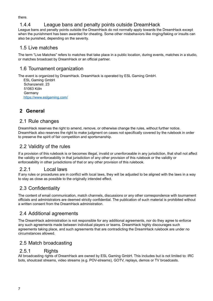there.

#### <span id="page-6-0"></span>1.4.4 League bans and penalty points outside DreamHack

League bans and penalty points outside the DreamHack do not normally apply towards the DreamHack except when the punishment has been awarded for cheating. Some other misbehaviors like ringing/faking or insults can also be punished, depending on the severity.

#### <span id="page-6-1"></span>1.5 Live matches

The term "Live Matches" refers to matches that take place in a public location, during events, matches in a studio, or matches broadcast by DreamHack or an official partner.

#### <span id="page-6-2"></span>1.6 Tournament organization

The event is organized by DreamHack. DreamHack is operated by ESL Gaming GmbH.

ESL Gaming GmbH Schanzenstr. 23 51063 Köln Germany <https://www.eslgaming.com/>

#### <span id="page-6-3"></span>**2 General**

#### <span id="page-6-4"></span>2.1 Rule changes

DreamHack reserves the right to amend, remove, or otherwise change the rules, without further notice. DreamHack also reserves the right to make judgment on cases not specifically covered by the rulebook in order to preserve the spirit of fair competition and sportsmanship.

#### <span id="page-6-5"></span>2.2 Validity of the rules

If a provision of this rulebook is or becomes illegal, invalid or unenforceable in any jurisdiction, that shall not affect the validity or enforceability in that jurisdiction of any other provision of this rulebook or the validity or enforceability in other jurisdictions of that or any other provision of this rulebook.

#### <span id="page-6-6"></span>2.2.1 Local laws

If any rules or procedures are in conflict with local laws, they will be adjusted to be aligned with the laws in a way to stay as close as possible to the originally intended effect.

#### <span id="page-6-7"></span>2.3 Confidentiality

The content of email communication, match channels, discussions or any other correspondence with tournament officials and administrators are deemed strictly confidential. The publication of such material is prohibited without a written consent from the DreamHack administration.

#### <span id="page-6-8"></span>2.4 Additional agreements

The DreamHack administration is not responsible for any additional agreements, nor do they agree to enforce any such agreements made between individual players or teams. DreamHack highly discourages such agreements taking place, and such agreements that are contradicting the DreamHack rulebook are under no circumstances allowed.

#### <span id="page-6-9"></span>2.5 Match broadcasting

#### <span id="page-6-10"></span>2.5.1 Rights

All broadcasting rights of DreamHack are owned by ESL Gaming GmbH. This includes but is not limited to: IRC bots, shoutcast streams, video streams (e.g. POV-streams), GOTV, replays, demos or TV broadcasts.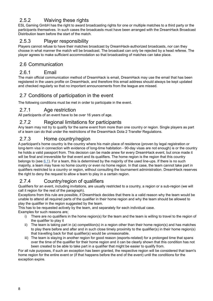#### <span id="page-7-0"></span>2.5.2 Waiving these rights

ESL Gaming GmbH has the right to award broadcasting rights for one or multiple matches to a third party or the participants themselves. In such cases the broadcasts must have been arranged with the DreamHack Broadcast Distribution team before the start of the match.

#### <span id="page-7-1"></span>2.5.3 Player responsibility

Players cannot refuse to have their matches broadcast by DreamHack-authorized broadcasts, nor can they choose in what manner the match will be broadcast. The broadcast can only be rejected by a head referee. The player agrees to make sufficient accommodation so that broadcasting of matches can take place.

#### <span id="page-7-2"></span>2.6 Communication

#### <span id="page-7-3"></span>2.6.1 Email

The main official communication method of DreamHack is email, DreamHack may use the email that has been registered in the users profile on DreamHack, and therefore this email address should always be kept updated and checked regularly so that no important announcements from the league are missed.

#### <span id="page-7-4"></span>2.7 Conditions of participation in the event

The following conditions must be met in order to participate in the event.

#### <span id="page-7-5"></span>2.7.1 Age restriction

All participants of an event have to be over 16 years of age.

#### <span id="page-7-6"></span>2.7.2 Regional limitations for participants

Any team may not try to qualify for the same event from more than one country or region. Single players as part of a team can do that under the restrictions of the DreamHack Dota 2 Transfer Regulations.

#### <span id="page-7-7"></span>2.7.3 Home country/region

A participant's home country is the country where his main place of residence (proven by legal registration or long-term visa in connection with evidence of long-time habitation - 90-day visas are not enough) is or the country he holds a valid passport from. This decision can be made anew for every DreamHack event, but once made it will be final and irreversible for that event and its qualifiers. The home region is the region that this country belongs to (see [6.1](#page-20-1)). For a team, this is determined by the majority of the used line-ups. If there is no such majority, a team may have no home country or even no home region. In that case, the team cannot take part in qualifiers restricted to a country or region, without consulting the tournament administration. DreamHack reserves the right to deny the request to allow a team to play in a certain region.

#### <span id="page-7-8"></span>2.7.4 Country/region of qualifiers

Qualifiers for an event, including invitations, are usually restricted to a country, a region or a sub-region (we will call it region for the rest of the paragraph).

Exceptions from this rule are possible, if DreamHack decides that there is a valid reason why the team would be unable to attend all required parts of the qualifier in their home region and why the team should be allowed to play the qualifier in the region suggested by the team.

This has to be requested actively by the team, and separately for each individual case.

Examples for such reasons are;

- i) There are no qualifiers in the home region(s) for the team and the team is willing to travel to the region of the qualifier to play it
- ii) The team is taking part in (a) competition(s) in a region other than their home region(s) and has matches to play there before and after and in such close timely proximity to the qualifier(s) in their home region(s) that travelling back for that qualifier(s) would be unreasonable.
- iii) The team is staying in another region for good reason (esports-related) for a prolonged time that spans over the time of the qualifier for their home region and it can be clearly shown that this condition has not been created to be able to take part in a qualifier that might be easier to qualify from.

For all rule purposes, if such an exception has been granted, the respective region will be considered that team's home region for the entire event or (if that happens before the end of the event) until the conditions for the exception expire.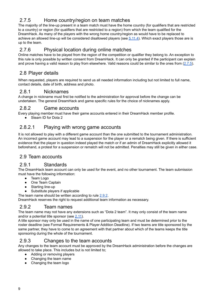#### <span id="page-8-0"></span>2.7.5 Home country/region on team matches

The majority of the line-up present in a team match must have the home country (for qualifiers that are restricted to a country) or region (for qualifiers that are restricted to a region) from which the team qualified for the DreamHack. As many of the players with the wrong home country/region as would have to be replaced to achieve an allowed line-up will be considered disallowed players (see [5.11.4\)](#page-19-1). Which exact players those are is up to the team.

#### <span id="page-8-1"></span>2.7.6 Physical location during online matches

Online matches have to be played from the region of the competition or qualifier they belong to. An exception to this rule is only possible by written consent from DreamHack. It can only be granted if the participant can explain and prove having a valid reason to play from elsewhere. Valid reasons could be similar to the ones from  $(2.7.5)$  $(2.7.5)$ .

#### <span id="page-8-2"></span>2.8 Player details

When requested, players are required to send us all needed information including but not limited to full name, contact details, date of birth, address and photo.

#### <span id="page-8-3"></span>2.8.1 Nicknames

A change in nickname must first be notified to the administration for approval before the change can be undertaken. The general DreamHack and game specific rules for the choice of nicknames apply.

#### <span id="page-8-4"></span>2.8.2 Game accounts

Every playing member must have their game accounts entered in their DreamHack member profile.

● Steam ID for Dota 2

#### <span id="page-8-5"></span>2.8.2.1 Playing with wrong game accounts

It is not allowed to play with a different game account than the one submitted to the tournament administration. An incorrect game account may lead to a suspension for the player or a rematch being given. If there is sufficient evidence that the player in question indeed played the match or if an admin of DreamHack explicitly allowed it beforehand, a protest for a suspension or rematch will not be admitted. Penalties may still be given in either case.

#### <span id="page-8-6"></span>2.9 Team accounts

#### <span id="page-8-7"></span>2.9.1 Standards

The DreamHack team account can only be used for the event, and no other tournament. The team submission must have the following information:

- Team Logo
- One Team Captain
- Starting line-up
- Substitute players if applicable

The team name should be written according to rule [2.9.2](#page-8-8).

DreamHack reserves the right to request additional team information as necessary.

#### <span id="page-8-8"></span>2.9.2 Team names

The team name may not have any extensions such as "Dota 2 team". It may only consist of the team name and/or a potential title sponsor (see [2.11\)](#page-9-4).

A title sponsor may only be used in the name of one participating team and must be determined prior to the roster deadline (see Formal Requirements & Player Addition Deadline). If two teams are title sponsored by the same partner, they have to come to an agreement with that partner about which of the teams keeps the title sponsoring during the whole of the tournament.

#### <span id="page-8-9"></span>2.9.3 Changes to the team accounts

Any changes to the team account must be approved by the DreamHack administration before the changes are allowed to take place. This includes but is not limited to;

- Adding or removing players
- Changing the team name
- Changing the team logo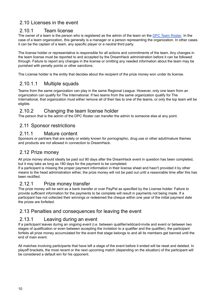#### <span id="page-9-0"></span>2.10 Licenses in the event

#### <span id="page-9-1"></span>2.10.1 Team license

The owner of a team is the person who is registered as the admin of the team on the DPC Team [Roster.](https://www.dota2.com/majorsregistration/) In the case of a team organization, this generally is a manager or a person representing the organization. In other cases it can be the captain of a team, any specific player or a neutral third party.

The license holder or representative is responsible for all actions and commitments of the team. Any changes in the team license must be reported to and accepted by the DreamHack administration before it can be followed through. Failure to report any changes in the license or omitting any needed information about the team may be punished with penalty points or other sanctions.

<span id="page-9-2"></span>The License holder is the entity that decides about the recipient of the prize money won under its license.

#### 2.10.1.1 Multiple squads

Teams from the same organization can play in the same Regional League. However, only one team from an organization can qualify for The International. If two teams from the same organization qualify for The International, that organization must either remove all of their ties to one of the teams, or only the top team will be eligible.

#### <span id="page-9-3"></span>2.10.2 Changing the team license holder

<span id="page-9-4"></span>The person that is the admin of the DPC Roster can transfer the admin to someone else at any point.

#### 2.11 Sponsor restrictions

#### <span id="page-9-5"></span>2.11.1 Mature content

Sponsors or partners that are solely or widely known for pornographic, drug use or other adult/mature themes and products are not allowed in connection to DreamHack.

#### <span id="page-9-6"></span>2.12 Prize money

All prize money should ideally be paid out 90 days after the DreamHack event in question has been completed, but it may take as long as 180 days for the payment to be completed.

If a participant is missing the proper payment information in their license sheet and hasn't provided it by other means to the head administration either, the prize money will not be paid out until a reasonable time after this has been rectified.

#### <span id="page-9-7"></span>2.12.1 Prize money transfer

The prize money will be sent as a bank transfer or over PayPal as specified by the License holder. Failure to provide sufficient information for the payments to be complete will result in payments not being made. If a participant has not collected their winnings or redeemed the cheque within one year of the initial payment date the prizes are forfeited.

#### <span id="page-9-8"></span>2.13 Penalties and consequences for leaving the event

#### <span id="page-9-9"></span>2.13.1 Leaving during an event

If a participant leaves during an ongoing event (i.e. between qualifier/wildcard-invite and event or between two stages of qualification or even between accepting the invitation to a qualifier and the qualifier), the participant forfeits all prize money accumulated for the event that stage belongs to and all its members get banned until the end of main event.

All matches involving participants that have left a stage of the event before it ended will be reset and deleted. In playoff brackets, the most recent or the next upcoming match (depending on the situation) of the participant will be considered a default win for his opponent.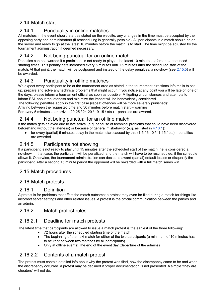#### <span id="page-10-0"></span>2.14 Match start

#### <span id="page-10-1"></span>2.14.1 Punctuality in online matches

All matches in the event should start as stated on the website, any changes in the time must be accepted by the opposing party and administrators (if rescheduling is generally possible). All participants in a match should be on the server and ready to go at the latest 10 minutes before the match is to start. The time might be adjusted by the tournament administration if deemed necessary.

#### <span id="page-10-2"></span>2.14.2 Not being punctual for an online match

Penalties can be awarded if a participant is not ready to play at the latest 10 minutes before the announced starting times. This penalty gets increased every 5 minutes until 15 minutes after the scheduled start of the match. At that point, the match will be postponed and instead of the delay penalties, a no-show (see [2.15.5\)](#page-10-5) will be awarded.

#### <span id="page-10-3"></span>2.14.3 Punctuality in offline matches

We expect every participant to be at the tournament area as stated in the tournament directions info mails to set up, prepare and solve any technical problems that might occur. If you notice at any point you will be late on one of the days, please inform a tournament official as soon as possible! Mitigating circumstances and attempts to inform ESL about the lateness and minimize the impact will be benevolently considered.

The following penalties apply in the first case (repeat offences will be more severely punished):

Arriving between the requested time and 30 minutes before match start – warning

For every 5 minutes later arrival (29-25 / 24-20 / 19-15 / etc.) – penalties are awared.

#### <span id="page-10-4"></span>2.14.4 Not being punctual for an offline match

If the match gets delayed due to late arrival (e.g. because of technical problems that could have been discovered beforehand without the lateness) or because of general misbehavior (e.g. as listed in [4.10.1\)](#page-14-4):

• for every (partial) 5 minutes delay in the match start caused by this  $(1-5/6-10/11-15/etc)$  – penalties are awarded

#### <span id="page-10-5"></span>2.14.5 Participants not showing

If a participant is not ready to play until 15 minutes after the scheduled start of the match, he is considered a no-show. In that case, the participant will be penalized, and the match will have to be rescheduled, if the schedule allows it. Otherwise, the tournament administration can decide to award (partial) default losses or disqualify the participant. After a second 15 minute period the opponent will be rewarded with a full match series win.

#### <span id="page-10-6"></span>2.15 Match procedures

#### <span id="page-10-7"></span>2.16 Match protests

#### <span id="page-10-8"></span>2.16.1 Definition

A protest is for problems that affect the match outcome; a protest may even be filed during a match for things like incorrect server settings and other related issues. A protest is the official communication between the parties and an admin.

#### <span id="page-10-9"></span>2.16.2 Match protest rules

#### <span id="page-10-10"></span>2.16.2.1 Deadline for match protests

The latest time that participants are allowed to issue a match protest is the earliest of the three following:

- 72 hours after the scheduled starting time of the match
- The beginning of the next match for either of the two participants (a minimum of 10 minutes has to be kept between two matches by all participants)
- Only at offline events: The end of the event day (departure of the admins)

#### <span id="page-10-11"></span>2.16.2.2 Contents of a match protest

The protest must contain detailed info about why the protest was filed, how the discrepancy came to be and when the discrepancy occurred. A protest may be declined if proper documentation is not presented. A simple "they are cheaters" will not do.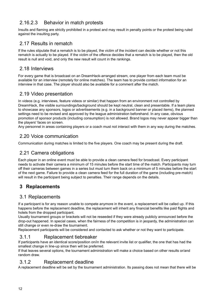#### <span id="page-11-0"></span>2.16.2.3 Behavior in match protests

Insults and flaming are strictly prohibited in a protest and may result in penalty points or the protest being ruled against the insulting party.

#### <span id="page-11-1"></span>2.17 Results in rematch

If the rules stipulate that a rematch is to be played, the victim of the incident can decide whether or not this rematch is actually to be played. If the victim of the offence decides that a rematch is to be played, then the old result is null and void, and only the new result will count in the rankings.

#### <span id="page-11-2"></span>2.18 Interviews

For every game that is broadcast on an DreamHack-arranged stream, one player from each team must be available for an interview (remotely for online matches). The team has to provide contact information for an interview in that case. The player should also be available for a comment after the match.

#### <span id="page-11-3"></span>2.19 Video presentation

In videos (e.g. interviews, feature videos or similar) that happen from an environment not controlled by DreamHack, the visible surroundings/background should be kept neutral, clean and presentable. If a team plans to showcase any sponsors, logos or advertisements (e.g. in a background banner or placed items), the planned settings need to be revised and approved by the league administration beforehand. In any case, obvious promotion of sponsor products (including consumption) is not allowed. Brand logos may never appear bigger than the players' faces on screen.

<span id="page-11-4"></span>Any personnel in areas containing players or a coach must not interact with them in any way during the matches.

#### 2.20 Voice communication

<span id="page-11-5"></span>Communication during matches is limited to the five players. One coach may be present during the draft.

#### 2.21 Camera obligations

Each player in an online event must be able to provide a clean camera feed for broadcast. Every participant needs to activate their camera a minimum of 15 minutes before the start time of the match. Participants may turn off their cameras between games in a series but must turn them back on a minimum of 5 minutes before the start of the next game. Failure to provide a clean camera feed for the full duration of the game (including pre-match) will result in the participant being subject to penalties. Their range depends on the details.

#### <span id="page-11-6"></span>**3 Replacements**

#### <span id="page-11-7"></span>3.1 Replacements

If a participant is for any reason unable to compete anymore in the event, a replacement will be called up. If this happens before the replacement deadline, the replacement will inherit any financial benefits like paid flights and hotels from the dropped participant.

Usually tournament groups or brackets will not be reseeded if they were already publicly announced before the drop-out happened. In special cases, when the fairness of the competition is in jeopardy, the administration can still change or even re-draw the tournament.

Replacement participants will be considered and contacted to ask whether or not they want to participate.

#### <span id="page-11-8"></span>3.1.1 Replacement tiebreaker

If participants have an identical score/position on/in the relevant invite list or qualifier, the one that has had the smallest change in line-up since then will be preferred.

If that leaves several options, the tournament administration will make a choice based on other results or/and random draw.

#### <span id="page-11-9"></span>3.1.2 Replacement deadline

A replacement deadline will be set by the tournament administration. Its passing does not mean that there will be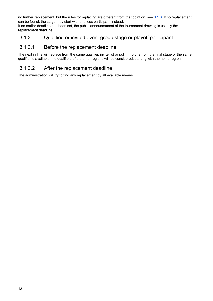no further replacement, but the rules for replacing are different from that point on, see [3.1.3](#page-12-0). If no replacement can be found, the stage may start with one less participant instead.

If no earlier deadline has been set, the public announcement of the tournament drawing is usually the replacement deadline.

#### <span id="page-12-0"></span>3.1.3 Qualified or invited event group stage or playoff participant

#### <span id="page-12-1"></span>3.1.3.1 Before the replacement deadline

The next in line will replace from the same qualifier, invite list or poll. If no one from the final stage of the same qualifier is available, the qualifiers of the other regions will be considered, starting with the home region

#### <span id="page-12-2"></span>3.1.3.2 After the replacement deadline

The administration will try to find any replacement by all available means.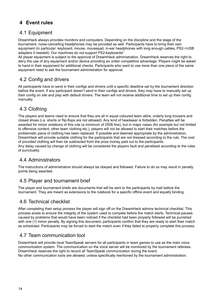#### <span id="page-13-0"></span>**4 Event rules**

#### <span id="page-13-1"></span>4.1 Equipment

DreamHack always provides monitors and computers. Depending on the discipline and the stage of the tournament, noise-cancelling headphones may be provided as well. Participants have to bring their own equipment (in particular: keyboard, mouse, mousepad, in-ear headphones with long enough cables, PS2->USB adapters if needed). Our machines do not support PS2-keyboards!

All player equipment is subject to the approval of DreamHack administration. DreamHack reserves the right to deny the use of any equipment and/or device providing an unfair competitive advantage. Players might be asked to hand in their equipment for additional checks. Participants who want to use more than one piece of the same equipment need to ask the tournament administration for approval.

#### <span id="page-13-2"></span>4.2 Config and drivers

All participants have to send in their configs and drivers until a specific deadline set by the tournament direction before the event. If any participant doesn't send in their configs and drivers, they may have to manually set up their config on site and play with default drivers. The team will not receive additional time to set up their config manually.

#### <span id="page-13-3"></span>4.3 Clothing

The players and teams need to ensure that they are all in equal coloured team attire, orderly long trousers and closed shoes (i.e. shorts or flip-flops are not allowed). Any kind of headwear is forbidden. Penalties will be awarded for minor violations of this rule (a minimum of 250\$ fine), but in major cases (for example but not limited to offensive content, other team clothing etc.), players will not be allowed to start their matches before the problematic piece of clothing has been replaced. If possible and deemed appropriate by the administration, DreamHack will provide suitable clothing for the participants that are not dressed according to the rule. The cost of provided clothing will then be subtracted from the prize money paid out to the participants. Any delay caused by change of clothing will be considered the players fault and penalised according to the rules of punctuality.

#### <span id="page-13-4"></span>4.4 Administrators

The instructions of administrators should always be obeyed and followed. Failure to do so may result in penalty points being awarded.

#### <span id="page-13-5"></span>4.5 Player and tournament brief

The player and tournament briefs are documents that will be sent to the participants by mail before the tournament. They are meant as extensions to the rulebook for a specific offline event and equally binding.

#### <span id="page-13-6"></span>4.6 Technical checklist

After completing their setup process the player will sign off on the DreamHack admins technical checklist. This process exists to ensure the integrity of the system used to compete before the match starts. Technical pauses caused by problems that would have been noticed if the checklist had been properly followed will be punished with one (1) minor penalty. By signing this document, participants confirm that they are ready to start their match as scheduled. Participants may be forced to start the match even if they failed to properly complete this process.

#### <span id="page-13-7"></span>4.7 Team communication tool

DreamHack will provide local TeamSpeak servers for all participants in team games to use as the main voice communication system. The communication on the voice server will be monitored by the tournament referees. DreamHack reserves the right to record all TeamSpeak communication during the event. No other communication tools are allowed, unless specifically mentioned by the tournament administration.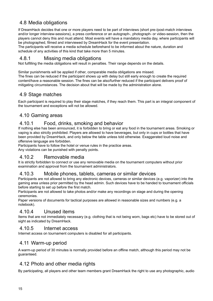#### <span id="page-14-0"></span>4.8 Media obligations

If DreamHack decides that one or more players need to be part of interviews (short pre-/post-match interviews and/or longer interview-sessions), a press conference or an autograph-, photograph- or video-session, then the players cannot deny this and must attend. Most events will have a mandatory media day, where participants will be photographed, filmed and interviewed by DreamHack for the event presentation.

The participants will receive a media schedule beforehand to be informed about the nature, duration and schedule of any activities of this kind that take more than 5 minutes.

#### <span id="page-14-1"></span>4.8.1 Missing media obligations

Not fulfilling the media obligations will result in penalties. Their range depends on the details.

Similar punishments will be applied if other, comparable media obligations are missed.

The fines can be reduced if the participant shows up with delay but still early enough to create the required content/have a reasonable session. The fines can be also/further reduced if the participant delivers proof of mitigating circumstances. The decision about that will be made by the administration alone.

#### <span id="page-14-2"></span>4.9 Stage matches

Each participant is required to play their stage matches, if they reach them. This part is an integral component of the tournament and exceptions will not be allowed.

#### <span id="page-14-3"></span>4.10 Gaming areas

#### <span id="page-14-4"></span>4.10.1 Food, drinks, smoking and behavior

If nothing else has been announced, it is forbidden to bring or eat any food in the tournament areas. Smoking or vaping is also strictly prohibited. Players are allowed to have beverages, but only in cups or bottles that have been provided by DreamHack, and only below the table unless told otherwise. Exaggerated loud noise and offensive language are forbidden.

Participants have to follow the hotel or venue rules in the practice areas.

Any violations can be punished with penalty points.

#### <span id="page-14-5"></span>4.10.2 Removable media

It is strictly forbidden to connect or use any removable media on the tournament computers without prior examination and approval from the tournament administrators.

#### <span id="page-14-6"></span>4.10.3 Mobile phones, tablets, cameras or similar devices

Participants are not allowed to bring any electronic devices, cameras or similar devices (e.g. vaporizer) into the gaming area unless prior permitted by the head admin. Such devices have to be handed to tournament officials before starting to set up before the first match.

Participants are not allowed to take photos and/or make any recordings on stage and during the opening ceremonies.

Paper versions of documents for tactical purposes are allowed in reasonable sizes and numbers (e.g. a notebook).

#### <span id="page-14-7"></span>4.10.4 Unused items

Items that are not immediately necessary (e.g. clothing that is not being worn, bags etc) have to be stored out of sight as indicated by DreamHack.

#### <span id="page-14-8"></span>4.10.5 Internet access

<span id="page-14-9"></span>Internet access on tournament computers is disabled for all participants.

#### 4.11 Warm-up period

A warm-up period of 30 minutes is normally provided before an offline match, although this period may not be guaranteed.

#### <span id="page-14-10"></span>4.12 Photo and other media rights

By participating, all players and other team members grant DreamHack the right to use any photographic, audio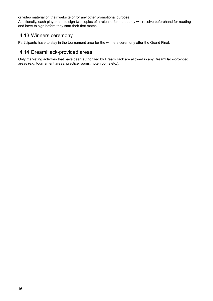or video material on their website or for any other promotional purpose.

Additionally, each player has to sign two copies of a release form that they will receive beforehand for reading and have to sign before they start their first match.

#### <span id="page-15-0"></span>4.13 Winners ceremony

<span id="page-15-1"></span>Participants have to stay in the tournament area for the winners ceremony after the Grand Final.

#### 4.14 DreamHack-provided areas

Only marketing activities that have been authorized by DreamHack are allowed in any DreamHack-provided areas (e.g. tournament areas, practice rooms, hotel rooms etc.).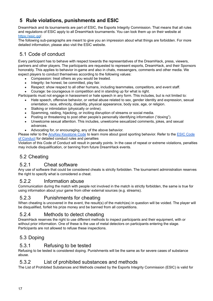#### <span id="page-16-0"></span>**5 Rule violations, punishments and ESIC**

DreamHack and its tournaments are part of ESIC, the Esports Integrity Commission. That means that all rules and regulations of ESIC apply to all DreamHack tournaments. You can look them up on their website at <https://esic.gg/>.

The following sub-paragraphs are meant to give you an impression about what things are forbidden. For more detailed information, please also visit the ESIC website.

#### <span id="page-16-1"></span>5.1 Code of conduct

Every participant has to behave with respect towards the representatives of the DreamHack, press, viewers, partners and other players. The participants are requested to represent esports, DreamHack, and their Sponsors honorably. This applies to behavior in-game and also in chats, messengers, comments and other media. We expect players to conduct themselves according to the following values:

- Compassion: treat others as you would be treated.
- Integrity: be honest, be committed, play fair.
- Respect: show respect to all other humans, including teammates, competitors, and event staff.
- Courage: be courageous in competition and in standing up for what is right.

Participants must not engage in harassment or hate speech in any form. This includes, but is not limited to:

- Hate speech, offensive behavior, or verbal abuse related to sex, gender identity and expression, sexual orientation, race, ethnicity, disability, physical appearance, body size, age, or religion.
- Stalking or intimidation (physically or online).
- Spamming, raiding, hijacking, or inciting disruption of streams or social media.
- Posting or threatening to post other people's personally identifying information ("doxing").
- Unwelcome sexual attention. This includes, unwelcome sexualized comments, jokes, and sexual advances.
- Advocating for, or encouraging, any of the above behavior.

Please refer to the AnyKey [Keystone](http://www.anykey.org/keystone-code/) [Code](https://esic.gg/codes/code-of-conduct/) to learn more about good sporting behavior. Refer to the ESIC Code of [Conduct](https://esic.gg/codes/code-of-conduct/) for detailed conduct rules and penalties

Violation of this Code of Conduct will result in penalty points. In the case of repeat or extreme violations, penalties may include disqualification, or banning from future DreamHack events.

#### <span id="page-16-2"></span>5.2 Cheating

#### <span id="page-16-3"></span>5.2.1 Cheat software

Any use of software that could be considered cheats is strictly forbidden. The tournament administration reserves the right to specify what is considered a cheat.

#### <span id="page-16-4"></span>5.2.2 Information abuse

Communication during the match with people not involved in the match is strictly forbidden, the same is true for using information about your game from other external sources (e.g. streams).

#### <span id="page-16-5"></span>5.2.3 Punishments for cheating

When cheating is uncovered in the event, the result(s) of the match(es) in question will be voided. The player will be disqualified, forfeit his prize money and be banned from all competitions.

#### <span id="page-16-6"></span>5.2.4 Methods to detect cheating

DreamHack reserves the right to use different methods to inspect participants and their equipment, with or without prior information. One of these is the use of metal detectors on participants entering the stage. Participants are not allowed to refuse these inspections.

#### <span id="page-16-7"></span>5.3 Doping

#### <span id="page-16-8"></span>5.3.1 Refusing to be tested

Refusing to be tested is considered doping. Punishments will be the same as for severe cases of substance abuse.

#### <span id="page-16-9"></span>5.3.2 List of prohibited substances and methods

The List of Prohibited Substances and Methods created by the Esports Integrity Commission (ESIC) is valid for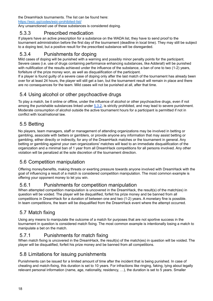the DreamHack tournaments. The Iist can be found here:

<https://esic.gg/codes/esic-prohibited-list/>

Any unsanctioned use of these substances is considered doping.

#### <span id="page-17-0"></span>5.3.3 Prescribed medication

If players have an active prescription for a substance on the WADA list, they have to send proof to the tournament administration before the first day of the tournament (deadline in local time). They may still be subject to a doping test, but a positive result for the prescribed substance will be disregarded.

#### <span id="page-17-1"></span>5.3.4 Punishments for doping

Mild cases of doping will be punished with a warning and possibly minor penalty points for the participant. Severe cases (i.e. use of drugs containing performance enhancing substances, like Adderall) will be punished with nullification of the results achieved under the influence of the substance, a ban of one to two (1-2) years, forfeiture of the prize money won, as well as disqualification of the participant.

If a player is found guilty of a severe case of doping only after the last match of the tournament has already been over for at least 24 hours, the player will still get a ban, but the tournament result will remain in place and there are no consequences for the team. Mild cases will not be punished at all, after that time.

#### <span id="page-17-2"></span>5.4 Using alcohol or other psychoactive drugs

To play a match, be it online or offline, under the influence of alcohol or other psychoactive drugs, even if not among the punishable substances linked under [5.3.2,](#page-16-9) is strictly prohibited, and may lead to severe punishment. Moderate consumption of alcohol outside the active tournament hours for a participant is permitted if not in conflict with local/national law.

#### <span id="page-17-3"></span>5.5 Betting

No players, team managers, staff or management of attending organizations may be involved in betting or gambling, associate with betters or gamblers, or provide anyone any information that may assist betting or gambling, either directly or indirectly, for any of the DreamHack matches or the tournament in general. Any betting or gambling against your own organizations' matches will lead to an immediate disqualification of the organization and a minimal ban of 1 year from all DreamHack competitions for all persons involved. Any other violation will be penalized at the sole discretion of the tournament direction.

#### <span id="page-17-4"></span>5.6 Competition manipulation

Offering money/benefits, making threats or exerting pressure towards anyone involved with DreamHack with the goal of influencing a result of a match is considered competition manipulation. The most common example is offering your opponent money to let you win.

#### <span id="page-17-5"></span>5.6.1 Punishments for competition manipulation

When attempted competition manipulation is uncovered in the DreamHack, the result(s) of the match(es) in question will be voided. The player will be disqualified, forfeit his prize money and be banned from all competitions in DreamHack for a duration of between one and two (1-2) years. A monetary fine is possible. In team competitions, the team will be disqualified from the DreamHack event where the attempt occurred.

#### <span id="page-17-6"></span>5.7 Match fixing

Using any means to manipulate the outcome of a match for purposes that are not sportive success in the tournament in question is considered match fixing. The most common example is intentionally losing a match to manipulate a bet on the match.

#### <span id="page-17-7"></span>5.7.1 Punishments for match fixing

When match fixing is uncovered in the DreamHack, the result(s) of the match(es) in question will be voided. The player will be disqualified, forfeit his prize money and be banned from all competitions.

#### <span id="page-17-8"></span>5.8 Limitations for issuing punishments

Punishments can be issued for a limited amount of time after the incident that is being punished. In case of cheating and match-fixing, this duration is set to 10 years. For infractions like ringing, faking, lying about legally relevant personal information (name, age, nationality, residency, …), the duration is set to 5 years. Smaller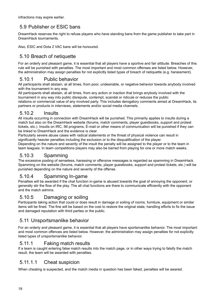infractions may expire earlier.

#### <span id="page-18-0"></span>5.9 Publisher or ESIC bans

DreamHack reserves the right to refuse players who have standing bans from the game publisher to take part in DreamHack tournaments.

<span id="page-18-1"></span>Also, ESIC and Dota 2 VAC bans will be honoured.

#### 5.10 Breach of netiquette

For an orderly and pleasant game, it is essential that all players have a sportive and fair attitude. Breaches of this rule will be punished with penalties. The most important and most common offenses are listed below. However, the administration may assign penalties for not explicitly listed types of breach of netiquette (e.g. harassment).

#### <span id="page-18-2"></span>5.10.1 Public behavior

All participants shall abstain, at all times, from poor, undesirable, or negative behavior towards anybody involved with the tournament in any way.

All participants shall abstain, at all times, from any action or inaction that brings anybody involved with the tournament in any way into public disrepute, contempt, scandal or ridicule or reduces the public relations or commercial value of any involved party. This includes derogatory comments aimed at DreamHack, its partners or products in interviews, statements and/or social media channels.

#### <span id="page-18-3"></span>5.10.2 Insults

All insults occurring in connection with DreamHack will be punished. This primarily applies to insults during a match but also on the DreamHack website (forums, match comments, player guestbooks, support and protest tickets, etc.). Insults on IRC, IM programs, E-mail or other means of communication will be punished if they can be linked to DreamHack and the evidence is clear.

Particularly severe abuse cases with radical statements or the threat of physical violence can result in significantly heavier penalties including the exclusion or to the disqualification of the player.

Depending on the nature and severity of the insult the penalty will be assigned to the player or to the team in team leagues. In team competitions players may also be barred from playing for one or more match weeks.

#### <span id="page-18-4"></span>5.10.3 Spamming

The excessive posting of senseless, harassing or offensive messages is regarded as spamming in DreamHack. Spamming on the website (forums, match comments, player guestbooks, support and protest tickets, etc.) will be punished depending on the nature and severity of the offense.

#### <span id="page-18-5"></span>5.10.4 Spamming In-game

Penalties will be awarded if the chat function in-game is abused towards the goal of annoying the opponent, or generally stir the flow of the play. The all chat functions are there to communicate efficiently with the opponent and the match admins.

#### <span id="page-18-6"></span>5.10.5 Damaging or soiling

Participants taking action that could or does result in damage or soiling of rooms, furniture, equipment or similar items will be fined. The fine will be based on the cost to restore the original state, handling efforts to fix the issue and damaged reputation with third parties or the public.

#### <span id="page-18-7"></span>5.11 Unsportsmanlike behavior

For an orderly and pleasant game, it is essential that all players have sportsmanlike behavior. The most important and most common offences are listed below. However, the administration may assign penalties for not explicitly listed types of unsportsmanlike behavior.

#### <span id="page-18-8"></span>5.11.1 Faking match results

If a team is caught entering false match results into the match page, or in other ways trying to falsify the match result, the team will be awarded with penalties.

#### <span id="page-18-9"></span>5.11.1.1 Cheat suspicion

When cheating is suspected, and the match media in question has been faked, penalties will be awared.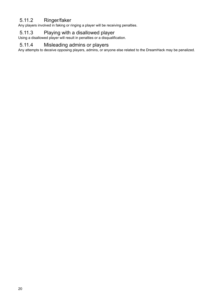#### <span id="page-19-0"></span>5.11.2 Ringer/faker

Any players involved in faking or ringing a player will be receiving penalties.

#### <span id="page-19-1"></span>5.11.3 Playing with a disallowed player

Using a disallowed player will result in penalties or a disqualification.

#### <span id="page-19-2"></span>5.11.4 Misleading admins or players

Any attempts to deceive opposing players, admins, or anyone else related to the DreamHack may be penalized.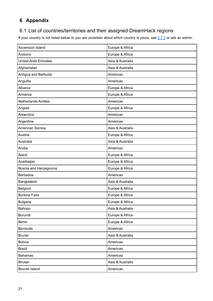#### <span id="page-20-0"></span>**6 Appendix**

#### <span id="page-20-1"></span>6.1 List of countries/territories and their assigned DreamHack regions

If your country is not listed below or you are uncertain about which country is yours, see  $2.7.3$  or ask an admin.

| Ascension Island            | Europe & Africa  |
|-----------------------------|------------------|
| Andorra                     | Europe & Africa  |
| <b>United Arab Emirates</b> | Asia & Australia |
| Afghanistan                 | Asia & Australia |
| Antigua and Barbuda         | Americas         |
| Anguilla                    | Americas         |
| Albania                     | Europe & Africa  |
| Armenia                     | Europe & Africa  |
| <b>Netherlands Antilles</b> | Americas         |
| Angola                      | Europe & Africa  |
| Antarctica                  | Americas         |
| Argentina                   | Americas         |
| American Samoa              | Asia & Australia |
| Austria                     | Europe & Africa  |
| Australia                   | Asia & Australia |
| Aruba                       | Americas         |
| Åland                       | Europe & Africa  |
| Azerbaijan                  | Europe & Africa  |
| Bosnia and Herzegovina      | Europe & Africa  |
| <b>Barbados</b>             | Americas         |
| Bangladesh                  | Asia & Australia |
| Belgium                     | Europe & Africa  |
| <b>Burkina Faso</b>         | Europe & Africa  |
| Bulgaria                    | Europe & Africa  |
| Bahrain                     | Asia & Australia |
| Burundi                     | Europe & Africa  |
| Benin                       | Europe & Africa  |
| Bermuda                     | Americas         |
| <b>Brunei</b>               | Asia & Australia |
| <b>Bolivia</b>              | Americas         |
| <b>Brazil</b>               | Americas         |
| <b>Bahamas</b>              | Americas         |
| <b>Bhutan</b>               | Asia & Australia |
| <b>Bouvet Island</b>        | Americas         |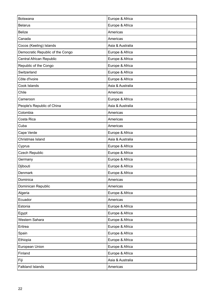| Botswana                         | Europe & Africa  |
|----------------------------------|------------------|
| <b>Belarus</b>                   | Europe & Africa  |
| <b>Belize</b>                    | Americas         |
| Canada                           | Americas         |
| Cocos (Keeling) Islands          | Asia & Australia |
| Democratic Republic of the Congo | Europe & Africa  |
| Central African Republic         | Europe & Africa  |
| Republic of the Congo            | Europe & Africa  |
| Switzerland                      | Europe & Africa  |
| Côte d'Ivoire                    | Europe & Africa  |
| Cook Islands                     | Asia & Australia |
| Chile                            | Americas         |
| Cameroon                         | Europe & Africa  |
| People's Republic of China       | Asia & Australia |
| Colombia                         | Americas         |
| Costa Rica                       | Americas         |
| Cuba                             | Americas         |
| Cape Verde                       | Europe & Africa  |
| Christmas Island                 | Asia & Australia |
| Cyprus                           | Europe & Africa  |
| <b>Czech Republic</b>            | Europe & Africa  |
| Germany                          | Europe & Africa  |
| Djibouti                         | Europe & Africa  |
| Denmark                          | Europe & Africa  |
| Dominica                         | Americas         |
| Dominican Republic               | Americas         |
| Algeria                          | Europe & Africa  |
| Ecuador                          | Americas         |
| Estonia                          | Europe & Africa  |
| Egypt                            | Europe & Africa  |
| Western Sahara                   | Europe & Africa  |
| Eritrea                          | Europe & Africa  |
| Spain                            | Europe & Africa  |
| Ethiopia                         | Europe & Africa  |
| European Union                   | Europe & Africa  |
| Finland                          | Europe & Africa  |
| Fiji                             | Asia & Australia |
| <b>Falkland Islands</b>          | Americas         |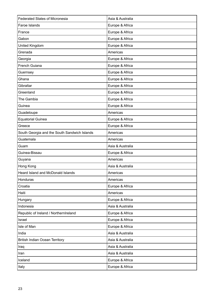| <b>Federated States of Micronesia</b>        | Asia & Australia |
|----------------------------------------------|------------------|
| Faroe Islands                                | Europe & Africa  |
| France                                       | Europe & Africa  |
| Gabon                                        | Europe & Africa  |
| United Kingdom                               | Europe & Africa  |
| Grenada                                      | Americas         |
| Georgia                                      | Europe & Africa  |
| French Guiana                                | Europe & Africa  |
| Guernsey                                     | Europe & Africa  |
| Ghana                                        | Europe & Africa  |
| Gibraltar                                    | Europe & Africa  |
| Greenland                                    | Europe & Africa  |
| The Gambia                                   | Europe & Africa  |
| Guinea                                       | Europe & Africa  |
| Guadeloupe                                   | Americas         |
| <b>Equatorial Guinea</b>                     | Europe & Africa  |
| Greece                                       | Europe & Africa  |
| South Georgia and the South Sandwich Islands | Americas         |
| Guatemala                                    | Americas         |
| Guam                                         | Asia & Australia |
| Guinea-Bissau                                |                  |
|                                              | Europe & Africa  |
| Guyana                                       | Americas         |
| Hong Kong                                    | Asia & Australia |
| Heard Island and McDonald Islands            | Americas         |
| Honduras                                     | Americas         |
| Croatia                                      | Europe & Africa  |
| Haiti                                        | Americas         |
| Hungary                                      | Europe & Africa  |
| Indonesia                                    | Asia & Australia |
| Republic of Ireland / NorthernIreland        | Europe & Africa  |
| Israel                                       | Europe & Africa  |
| Isle of Man                                  | Europe & Africa  |
| India                                        | Asia & Australia |
| British Indian Ocean Territory               | Asia & Australia |
| Iraq                                         | Asia & Australia |
| Iran                                         | Asia & Australia |
| Iceland                                      | Europe & Africa  |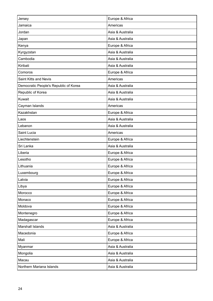| Jersey                                | Europe & Africa  |
|---------------------------------------|------------------|
| Jamaica                               | Americas         |
| Jordan                                | Asia & Australia |
| Japan                                 | Asia & Australia |
| Kenya                                 | Europe & Africa  |
| Kyrgyzstan                            | Asia & Australia |
| Cambodia                              | Asia & Australia |
| Kiribati                              | Asia & Australia |
| Comoros                               | Europe & Africa  |
| Saint Kitts and Nevis                 | Americas         |
| Democratic People's Republic of Korea | Asia & Australia |
| Republic of Korea                     | Asia & Australia |
| Kuwait                                | Asia & Australia |
| Cayman Islands                        | Americas         |
| Kazakhstan                            | Europe & Africa  |
| Laos                                  | Asia & Australia |
| Lebanon                               | Asia & Australia |
| Saint Lucia                           | Americas         |
| Liechtenstein                         | Europe & Africa  |
| Sri Lanka                             | Asia & Australia |
| Liberia                               | Europe & Africa  |
| Lesotho                               | Europe & Africa  |
| Lithuania                             | Europe & Africa  |
| Luxembourg                            | Europe & Africa  |
| Latvia                                | Europe & Africa  |
| Libya                                 | Europe & Africa  |
| Morocco                               | Europe & Africa  |
| Monaco                                | Europe & Africa  |
| Moldova                               | Europe & Africa  |
| Montenegro                            | Europe & Africa  |
| Madagascar                            | Europe & Africa  |
| Marshall Islands                      | Asia & Australia |
| Macedonia                             | Europe & Africa  |
| Mali                                  | Europe & Africa  |
| Myanmar                               | Asia & Australia |
| Mongolia                              | Asia & Australia |
| Macau                                 | Asia & Australia |
| Northern Mariana Islands              | Asia & Australia |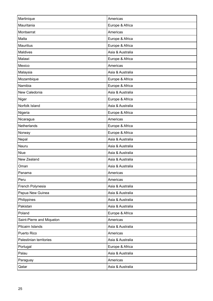| Martinique                | Americas         |
|---------------------------|------------------|
| Mauritania                | Europe & Africa  |
| Montserrat                | Americas         |
| Malta                     | Europe & Africa  |
| <b>Mauritius</b>          | Europe & Africa  |
| <b>Maldives</b>           | Asia & Australia |
| Malawi                    | Europe & Africa  |
| Mexico                    | Americas         |
| Malaysia                  | Asia & Australia |
| Mozambique                | Europe & Africa  |
| Namibia                   | Europe & Africa  |
| New Caledonia             | Asia & Australia |
| Niger                     | Europe & Africa  |
| Norfolk Island            | Asia & Australia |
| Nigeria                   | Europe & Africa  |
| Nicaragua                 | Americas         |
| Netherlands               | Europe & Africa  |
| Norway                    | Europe & Africa  |
| Nepal                     | Asia & Australia |
| Nauru                     | Asia & Australia |
| <b>Niue</b>               | Asia & Australia |
| New Zealand               | Asia & Australia |
| Oman                      | Asia & Australia |
| Panama                    | Americas         |
| Peru                      | Americas         |
| French Polynesia          | Asia & Australia |
| Papua New Guinea          | Asia & Australia |
| Philippines               | Asia & Australia |
| Pakistan                  | Asia & Australia |
| Poland                    | Europe & Africa  |
| Saint-Pierre and Miquelon | Americas         |
| Pitcairn Islands          | Asia & Australia |
| Puerto Rico               | Americas         |
| Palestinian territories   | Asia & Australia |
| Portugal                  | Europe & Africa  |
| Palau                     | Asia & Australia |
| Paraguay                  | Americas         |
| Qatar                     | Asia & Australia |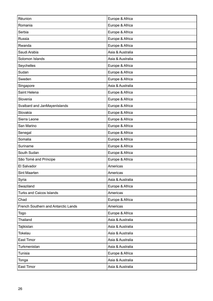| Réunion                             | Europe & Africa  |
|-------------------------------------|------------------|
| Romania                             | Europe & Africa  |
| Serbia                              | Europe & Africa  |
| Russia                              | Europe & Africa  |
| Rwanda                              | Europe & Africa  |
| Saudi Arabia                        | Asia & Australia |
| Solomon Islands                     | Asia & Australia |
| Seychelles                          | Europe & Africa  |
| Sudan                               | Europe & Africa  |
| Sweden                              | Europe & Africa  |
| Singapore                           | Asia & Australia |
| Saint Helena                        | Europe & Africa  |
| Slovenia                            | Europe & Africa  |
| Svalbard and JanMayenIslands        | Europe & Africa  |
| Slovakia                            | Europe & Africa  |
| Sierra Leone                        | Europe & Africa  |
| San Marino                          | Europe & Africa  |
| Senegal                             | Europe & Africa  |
| Somalia                             | Europe & Africa  |
| Suriname                            | Europe & Africa  |
| South Sudan                         | Europe & Africa  |
| São Tomé and Príncipe               | Europe & Africa  |
| El Salvador                         | Americas         |
| Sint Maarten                        | Americas         |
| Syria                               | Asia & Australia |
| Swaziland                           | Europe & Africa  |
| <b>Turks and Caicos Islands</b>     | Americas         |
| Chad                                | Europe & Africa  |
| French Southern and Antarctic Lands | Americas         |
| Togo                                | Europe & Africa  |
| Thailand                            | Asia & Australia |
| Tajikistan                          | Asia & Australia |
| <b>Tokelau</b>                      | Asia & Australia |
| East Timor                          | Asia & Australia |
| Turkmenistan                        | Asia & Australia |
| Tunisia                             | Europe & Africa  |
| Tonga                               | Asia & Australia |
| East Timor                          | Asia & Australia |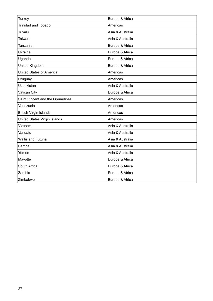| <b>Turkey</b>                    | Europe & Africa  |
|----------------------------------|------------------|
| Trinidad and Tobago              | Americas         |
| Tuvalu                           | Asia & Australia |
| Taiwan                           | Asia & Australia |
| Tanzania                         | Europe & Africa  |
| <b>Ukraine</b>                   | Europe & Africa  |
| Uganda                           | Europe & Africa  |
| <b>United Kingdom</b>            | Europe & Africa  |
| <b>United States of America</b>  | Americas         |
| Uruguay                          | Americas         |
| Uzbekistan                       | Asia & Australia |
| Vatican City                     | Europe & Africa  |
| Saint Vincent and the Grenadines | Americas         |
| Venezuela                        | Americas         |
| <b>British Virgin Islands</b>    | Americas         |
| United States Virgin Islands     | Americas         |
| Vietnam                          | Asia & Australia |
| Vanuatu                          | Asia & Australia |
| <b>Wallis and Futuna</b>         | Asia & Australia |
| Samoa                            | Asia & Australia |
| Yemen                            | Asia & Australia |
| Mayotte                          | Europe & Africa  |
| South Africa                     | Europe & Africa  |
| Zambia                           | Europe & Africa  |
| Zimbabwe                         | Europe & Africa  |